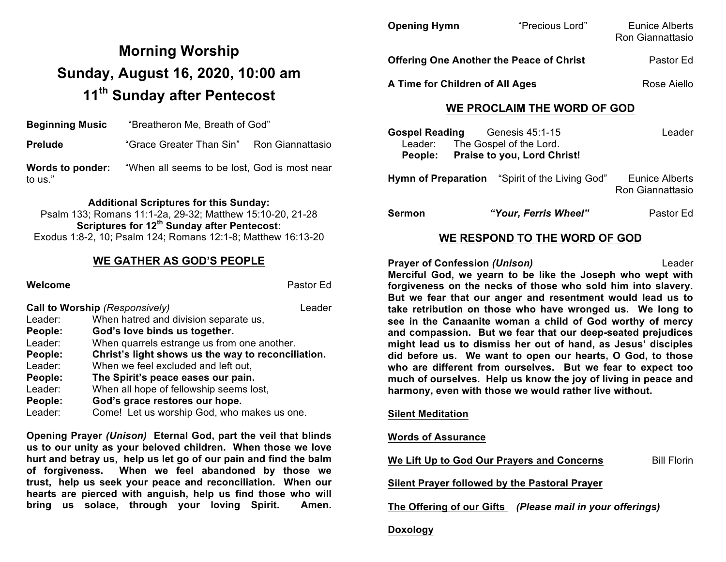# **Morning Worship Sunday, August 16, 2020, 10:00 am 11th Sunday after Pentecost**

**Beginning Music** "Breatheron Me, Breath of God" **Prelude** "Grace Greater Than Sin" Ron Giannattasio **Words to ponder:** "When all seems to be lost, God is most near to us."

#### **Additional Scriptures for this Sunday:**

| Psalm 133; Romans 11:1-2a, 29-32; Matthew 15:10-20, 21-28    |  |  |  |  |
|--------------------------------------------------------------|--|--|--|--|
| Scriptures for 12 <sup>th</sup> Sunday after Pentecost:      |  |  |  |  |
| Exodus 1:8-2, 10; Psalm 124; Romans 12:1-8; Matthew 16:13-20 |  |  |  |  |

### **WE GATHER AS GOD'S PEOPLE**

#### **Welcome** Pastor Ed

|         | Call to Worship (Responsively)                     | Leader |
|---------|----------------------------------------------------|--------|
| Leader: | When hatred and division separate us,              |        |
| People: | God's love binds us together.                      |        |
| Leader: | When quarrels estrange us from one another.        |        |
| People: | Christ's light shows us the way to reconciliation. |        |
| Leader: | When we feel excluded and left out,                |        |
| People: | The Spirit's peace eases our pain.                 |        |
| Leader: | When all hope of fellowship seems lost,            |        |
| People: | God's grace restores our hope.                     |        |
| Leader: | Come! Let us worship God, who makes us one.        |        |

**Opening Prayer** *(Unison)* **Eternal God, part the veil that blinds us to our unity as your beloved children. When those we love hurt and betray us, help us let go of our pain and find the balm of forgiveness. When we feel abandoned by those we trust, help us seek your peace and reconciliation. When our hearts are pierced with anguish, help us find those who will bring us solace, through your loving Spirit. Amen.**

| <b>Opening Hymn</b>                             | "Precious Lord" | Eunice Alberts<br>Ron Giannattasio |
|-------------------------------------------------|-----------------|------------------------------------|
| <b>Offering One Another the Peace of Christ</b> | Pastor Ed       |                                    |
| A Time for Children of All Ages                 |                 | Rose Aiello                        |

## **WE PROCLAIM THE WORD OF GOD**

| <b>Gospel Reading</b> | Genesis 45:1-15                    | Leader |
|-----------------------|------------------------------------|--------|
|                       | Leader: The Gospel of the Lord.    |        |
| People:               | <b>Praise to you, Lord Christ!</b> |        |

**Hymn of Preparation** "Spirit of the Living God" Eunice Alberts Ron Giannattasio

**Sermon** *"Your, Ferris Wheel"* Pastor Ed

## **WE RESPOND TO THE WORD OF GOD**

**Prayer of Confession** *(Unison)* Leader **Merciful God, we yearn to be like the Joseph who wept with forgiveness on the necks of those who sold him into slavery. But we fear that our anger and resentment would lead us to take retribution on those who have wronged us. We long to see in the Canaanite woman a child of God worthy of mercy and compassion. But we fear that our deep-seated prejudices might lead us to dismiss her out of hand, as Jesus' disciples did before us. We want to open our hearts, O God, to those who are different from ourselves. But we fear to expect too much of ourselves. Help us know the joy of living in peace and harmony, even with those we would rather live without.**

#### **Silent Meditation**

### **Words of Assurance**

**We Lift Up to God Our Prayers and Concerns** Bill Florin

**Silent Prayer followed by the Pastoral Prayer**

**The Offering of our Gifts** *(Please mail in your offerings)*

#### **Doxology**